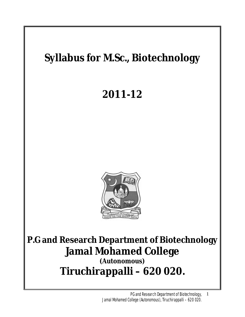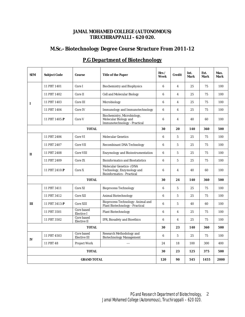## **JAMAL MOHAMED COLLEGE (AUTONOMOUS) TIRUCHIRAPPALLI – 620 020.**

# **M.Sc.- Biotechnology Degree Course Structure From 2011-12**

| <b>SEM</b>         | <b>Subject Code</b> | Course                                   | <b>Title of the Paper</b>                                                                          | Hrs/<br>Week     | <b>Credit</b>           | Int.<br>Mark | Ext.<br>Mark | Max.<br>Mark |
|--------------------|---------------------|------------------------------------------|----------------------------------------------------------------------------------------------------|------------------|-------------------------|--------------|--------------|--------------|
| I                  | 11 PBT 1401         | Core I                                   | <b>Biochemistry and Biophysics</b>                                                                 | $6\phantom{1}$   | $\overline{\mathbf{4}}$ | 25           | 75           | 100          |
|                    | 11 PBT 1402         | Core II                                  | <b>Cell and Molecular Biology</b>                                                                  | $\boldsymbol{6}$ | 4                       | 25           | 75           | 100          |
|                    | 11 PBT 1403         | Core III                                 | Microbiology                                                                                       | 6                | $\overline{\mathbf{4}}$ | 25           | 75           | 100          |
|                    | 11 PBT 1404         | Core IV                                  | <b>Immunology and Immunotechnology</b>                                                             | $\boldsymbol{6}$ | $\overline{\mathbf{4}}$ | 25           | 75           | 100          |
|                    | 11 PBT 1405:P       | Core V                                   | Biochemistry, Microbiology,<br><b>Molecular Biology and</b><br><b>Immunotechnology - Practical</b> | 6                | 4                       | 40           | 60           | 100          |
| <b>TOTAL</b>       |                     |                                          |                                                                                                    | 30               | 20                      | 140          | 360          | 500          |
| $\mathbf{I}$       | 11 PBT 2406         | Core VI                                  | <b>Molecular Genetics</b>                                                                          | 6                | 5                       | 25           | 75           | 100          |
|                    | 11 PBT 2407         | <b>Core VII</b>                          | <b>Recombinant DNA Technology</b>                                                                  | $6\phantom{1}$   | 5                       | 25           | 75           | 100          |
|                    | 11 PBT 2408         | <b>Core VIII</b>                         | <b>Enzymology and Bioinstrumentation</b>                                                           | 6                | 5                       | 25           | 75           | 100          |
|                    | 11 PBT 2409         | Core IX                                  | <b>Bioinformatics and Biostatistics</b>                                                            | 6                | 5                       | 25           | 75           | 100          |
|                    | 11 PBT 2410:P       | Core X                                   | <b>Molecular Genetics-rDNA</b><br>Technology, Enzymology and<br><b>Bioinformatics - Practical</b>  | 6                | $\overline{\mathbf{4}}$ | 40           | 60           | 100          |
| <b>TOTAL</b>       |                     |                                          |                                                                                                    | 30               | 24                      | 140          | 360          | 500          |
| Ш                  | 11 PBT 3411         | Core XI                                  | <b>Bioprocess Technology</b>                                                                       | 6                | 5                       | 25           | 75           | 100          |
|                    | 11 PBT 3412         | <b>Core XII</b>                          | <b>Animal Biotechnology</b>                                                                        | 6                | 5                       | 25           | 75           | 100          |
|                    | 11 PBT 3413:P       | Core XIII                                | <b>Bioprocess Technology-Animal and</b><br><b>Plant Biotechnology - Practical</b>                  | 6                | 5                       | 40           | 60           | 100          |
|                    | 11 PBT 3501         | <b>Core based</b><br><b>Elective I</b>   | <b>Plant Biotechnology</b>                                                                         | 6                | 4                       | 25           | 75           | 100          |
|                    | 11 PBT 3502         | <b>Core based</b><br><b>Elective II</b>  | IPR, Biosafety and Bioethics                                                                       | 6                | $\overline{\mathbf{4}}$ | 25           | 75           | 100          |
| <b>TOTAL</b>       |                     |                                          |                                                                                                    | 30               | 23                      | 140          | 360          | 500          |
| IV                 | 11 PBT 4503         | <b>Core based</b><br><b>Elective III</b> | <b>Research Methodology and</b><br><b>Biotechnology Management</b>                                 | 6                | 5                       | 25           | 75           | 100          |
|                    | 11 PBT 48           | <b>Project Work</b>                      | $\sim$                                                                                             | 24               | 18                      | 100          | 300          | 400          |
| <b>TOTAL</b>       |                     |                                          |                                                                                                    | 30               | 23                      | 125          | 375          | 500          |
| <b>GRAND TOTAL</b> |                     |                                          |                                                                                                    | 120              | 90                      | 545          | 1455         | 2000         |

# **P.G Department of Biotechnology**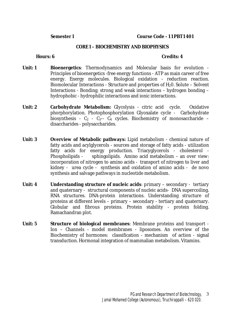### **CORE I – BIOCHEMISTRY AND BIOPHYSICS**

- **Unit: 1 Bioenergetics**: Thermodynamics and Molecular basis for evolution Principles of bioenergetics -free energy functions - ATP as main career of free energy. Energy molecules. Biological oxidation - reduction reaction. Biomolecular Interactions - Structure and properties of  $H<sub>2</sub>0$ . Solute – Solvent Interactions - Bonding; strong and weak interactions – hydrogen bonding – hydrophobic - hydrophilic interactions and ionic interactions.
- **Unit: 2 Carbohydrate Metabolism:** Glycolysis citric acid cycle. Oxidative phorphorylation. Photophosphorylation Glyoxalate cycle - Carbohydrate biosynthesis -  $C_2$  -  $C_3$ --  $C_4$  cycles. Biochemistry of monosaccharide – disaccharides - polysaccharides.
- **Unit: 3 Overview of Metabolic pathways:** Lipid metabolism chemical nature of fatty acids and acylglycerols - sources and storage of fatty acids - utilization fatty acids for energy production. Triacyglycerols - cholesterol - Phospholipids - sphingolipids. Amino acid metabolism – an over view: incorporation of nitrogen to amino acids - transport of nitrogen to liver and kidney - urea cycle - synthesis and oxidation of amino acids - de novo synthesis and salvage pathways in nucleotide metabolism.
- **Unit: 4 Understanding structure of nucleic acids**: primary secondary tertiary and quaternary - structural components of nucleic acids- DNA supercoiling. RNA structures. DNA-protein interactions. Understanding structure of proteins at different levels – primary – secondary - tertiary and quaternary. Globular and fibrous proteins. Protein stability - protein folding. Ramachandran plot.
- **Unit: 5 Structure of biological membranes**: Membrane proteins and transport Ion – Channels - model membranes - liposomes. An overview of the Biochemistry of hormones: classification - mechanism of action - signal transduction. Hormonal integration of mammalian metabolism. Vitamins.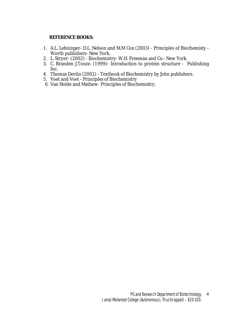- 1. A.L. Lehninger- D.L. Nelson and M.M Cox (2003) Principles of Biochemisty Worth publishers- New York.
- 2. L. Stryer- (2002) Biochemistry- W.H. Freeman and Co.- New York.
- 3. C. Branden J.Tooze. (1999)- Introduction to protein structure Publishing Inc.
- 4. Thomas Devlin (2002) Textbook of Biochemistry by John publishers.
- 5. Voet and Voet Principles of Biochemistry
- 6. Van Holde and Mathew- Principles of Biochemistry.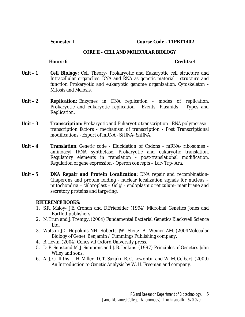**Semester I Course Code - 11PBT1402** 

#### **CORE II – CELL AND MOLECULAR BIOLOGY**

**Hours: 6** Credits: 4

- **Unit 1 Cell Biology:** Cell Theory- Prokaryotic and Eukaryotic cell structure and Intracellular organelles. DNA and RNA as genetic material - structure and function Prokaryotic and eukaryotic genome organization. Cytoskeleton - Mitosis and Meiosis.
- Unit 2 **Replication: Enzymes in DNA replication modes of replication.** Prokaryotic and eukaryotic replication - Events- Plasmids – Types and Replication.
- **Unit 3 Transcription:** Prokaryotic and Eukaryotic transcription RNA polymerase transcription factors - mechanism of transcription - Post Transcriptional modifications - Export of mRNA - Si RNA- SnRNA.
- **Unit 4 Translation:** Genetic code Elucidation of Codons mRNA- ribosomes aminoacyl tRNA synthetase. Prokaryotic and eukaryotic translation. Regulatory elements in translation - post-translational modification. Regulation of gene expression - Operon concepts – Lac- Trp- Ara.
- **Unit 5 DNA Repair and Protein Localization:** DNA repair and recombination-Chaperons and protein folding - nuclear localization signals for nucleus – mitochondria – chloroplast – Golgi - endoplasmic reticulum- membrane and secretory proteins and targeting.

- 1. S.R. Maloy- J.E. Cronan and D.Friefelder (1994) Microbial Genetics Jones and Bartlett publishers.
- 2. N. Trun and J. Trempy. (2004) Fundamental Bacterial Genetics Blackwell Science Ltd.
- 3. Watson JD- Hopokins NH- Roberts JW- Steitz JA- Weiner AM. (2004Molecular Biology of Gene) Benjamin / Cummings Publishing company.
- 4. B. Levin. (2004) Genes VII Oxford University press.
- 5. D. P. Snustand M. J. Simmons and J. B. Jenkins. (1997) Principles of Genetics John Wiley and sons.
- 6. A. J. Griffiths- J. H. Miller- D. T. Suzuki- R. C. Lewontin and W. M. Gelbart. (2000) An Introduction to Genetic Analysis by W. H. Freeman and company.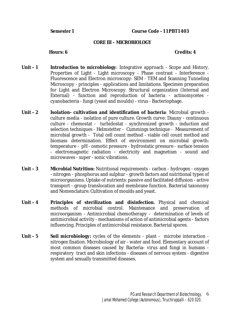### **CORE III – MICROBIOLOGY**

- **Unit 1 Introduction to microbiology**: Integrative approach Scope and History. Properties of Light - Light microscopy - Phase contrast - Interference - Fluorescence and Electron microscopy: SEM - TEM and Scanning Tunneling Microscopy - principles - applications and limitations. Specimen preparation for Light and Electron Microscopy. Structural organization (Internal and External) - function and reproduction of bacteria - actinomycetes cyanobacteria - fungi (yeast and moulds) - virus - Bacteriophage.
- **Unit 2 Isolation- cultivation and identification of bacteria**: Microbial growth culture media - isolation of pure culture. Growth curve: Diauxy - continuous culture - chemostat - turbidostat - synchronized growth - induction and selection techniques - Helmstetter - Cummings technique - Measurement of microbial growth - Total cell count method - viable cell count method and biomass determination. Effect of environment on microbial growth: temperature - pH - osmotic pressure - hydrostatic pressure - surface tension - electromagnetic radiation - electricity and magnetism - sound and microwaves - super - sonic vibrations.
- **Unit 3 Microbial Nutrition:** Nutritional requirements carbon hydrogen oxygen - nitrogen - phosphorus and sulphur - growth factors and nutritional types of microorganisms. Uptake of nutrients: passive and facilitated diffusion - active transport - group translocation and membrane function. Bacterial taxonomy and Nomenclature. Cultivation of moulds and yeast.
- **Unit 4 Principles of sterilization and disinfection.** Physical and chemical methods of microbial control. Maintenance and preservation of microorganism - Antimicrobial chemotherapy - determination of levels of antimicrobial activity - mechanisms of action of antimicrobial agents - factors influencing. Principles of antimicrobial resistance. Bacterial spores.
- **Unit 5 Soil microbiology:** cycles of the elements plant microbe interaction nitrogen fixation. Microbiology of air - water and food. Elementary account of most common diseases caused by Bacteria- virus and fungi in humans respiratory tract and skin infections - diseases of nervous system - digestive system and sexually transmitted diseases.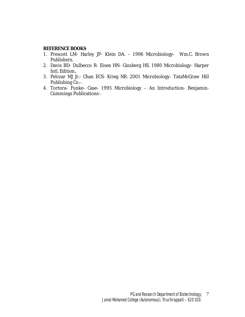- 1. Prescott LM- Harley JP- Klein DA. 1996 Microbiology- Wm.C. Brown Publishers.
- 2. Davis BD- Dulbecco R- Eisen HN- Ginsberg HS. 1980 Microbiology- Harper Intl. Edition..
- 3. Pelczar MJ Jr.- Chan ECS- Krieg NR. 2001 Microbiology- TataMcGraw Hill Publishing Co.-.
- 4. Tortora- Funke- Case- 1995 Microbiology An Introduction- Benjamin-Cummings Publications-.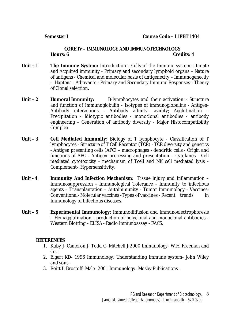## **CORE IV – IMMUNOLOGY AND IMMUNOTECHNOLOGY Hours: 6 Credits: 4**

- **Unit 1 The Immune System:** Introduction Cells of the Immune system Innate and Acquired immunity - Primary and secondary lymphoid organs – Nature of antigens - Chemical and molecular basis of antigenecity – Immunogenecity - Haptens - Adjuvants - Primary and Secondary Immune Responses - Theory of Clonal selection.
- Unit 2 **Humoral Immunity:** B-lymphocytes and their activation Structure and function of Immunoglobulin - Isotypes of immunoglobulins - Antigen-Antibody interactions - Antibody affinity- avidity; Agglutination – Precipitation - Idiotypic antibodies - monoclonal antibodies - antibody engineering – Generation of antibody diversity - Major Histocompatibility Complex.
- **Unit 3 Cell Mediated Immunity:** Biology of T lymphocyte Classification of T lymphocytes - Structure of T Cell Receptor (TCR) - TCR diversity and genetics - Antigen presenting cells (APC) – macrophages - dendritic cells - Origin and functions of APC - Antigen processing and presentation – Cytokines - Cell mediated cytotoxicity - mechanism of Tcell and NK cell mediated lysis - Complement- Hypersensitivity.
- **Unit 4 Immunity And Infection Mechanism:** Tissue injury and Inflammation Immunosuppression - Immunological Tolerance - Immunity to infectious agents – Transplantation – Autoimmunity - Tumor Immunology - Vaccines: Conventional- Molecular vaccines -Types of vaccines - Recent trends in Immunology of Infectious diseases.
- **Unit 5 Experimental Immunology:** Immunodiffusion and Immunoelectrophoresis – Hemagglutination - production of polyclonal and monoclonal antibodies - Western Blotting – ELISA - Radio Immunoassay - FACS.

## **REFERENCES**

- 1. Kuby J- Cameron J- Todd C- Mitchell J-2000 Immunology- W.H. Freeman and  $Co.$ -.
- 2. Elgert KD- 1996 Immunology: Understanding Immune system- John Wiley and sons-
- 3. Roitt I- Brostoff- Male- 2001 Immunology- Mosby Publications-.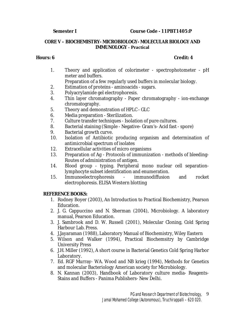**Semester I Course Code - 11PBT1405:P** 

## **CORE V – BIOCHEMISTRY- MICROBIOLOGY- MOLECULAR BIOLOGY AND IMMUNOLOGY - Practical**

1. Theory and application of colorimeter - spectrophotometer - pH meter and buffers.

Preparation of a few regularly used buffers in molecular biology.

- 2. Estimation of proteins aminoacids sugars.
- 3. Polyacrylamide gel electrophoresis.
- 4. Thin layer chromatography Paper chromatography ion-exchange chromatography.
- 5. Theory and demonstration of HPLC GLC
- 6. Media preparation Sterilization.
- 7. Culture transfer techniques Isolation of pure cultures.
- 8. Bacterial staining (Simple Negative- Gram's- Acid fast spore)
- 9. Bacterial growth curve.
- 10. Isolation of Antibiotic producing organism and determination of antimicrobial spectrum of isolates
- 12. Extracellular activities of micro organisms
- 13. Preparation of Ag Protocols of immunization methods of bleeding-Routes of administration of antigen.
- 14. Blood group typing. Peripheral mono nuclear cell separationlymphocyte subset identification and enumeration.
- 15. Immunoelectrophoresis immunodiffusion and rocket electrophoresis. ELISA Western blotting

# **REFERENCE BOOKS:**

- 1. Rodney Boyer (2003), An Introduction to Practical Biochemistry, Pearson Education.
- 2. J. G. Cappuccino and N. Sherman (2004), Microbiology. A laboratory manual, Pearson Education.
- 3. J. Sambrook and D. W. Russell (2001), Molecular Cloning, Cold Spring Harbour Lab. Press.
- 4. J.Jayaraman (1988), Laboratory Manual of Biochemistry, Wiley Eastern
- 5. Wilson and Walker (1994), Practical Biochemsitry by Cambridge University Press
- 6. J.H. Miller (1992), A short course in Bacterial Genetics Cold Spring Harbor Laboratory.
- 7. Ed. RGF Murray- WA. Wood and NB krieg (1994), Methods for Genetics and molecular Bacteriology American society for Microbiology.
- 8. N. Kannan (2003), Handbook of Laboratory culture media- Reagents-Stains and Buffers - Panima Publishers- New Delhi.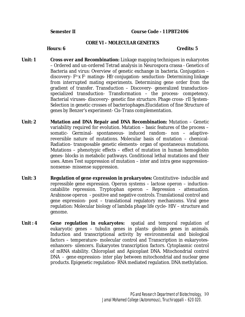**Semester II Course Code - 11PBT2406** 

#### **CORE VI – MOLECULAR GENETICS**

- **Unit: 1 Cross over and Recombination:** Linkage mapping techniques in eukaryotes – Ordered and un-ordered Tetrad analysis in Neurospora crassa - Genetics of Bacteria and virus: Overview of genetic exchange in bacteria. Conjugation – discovery- F+ x F– matings- Hfr conjugation- sexduction- Determining linkage from interrupted mating experiments. Determining gene order from the gradient of transfer. Transduction – Discovery- generalized transductionspecialized transduction- Transformation – the process- competency. Bacterial viruses- discovery- genetic fine structure. Phage cross- rII System-Selection in genetic crosses of bacteriophages.Elucidation of fine Structure of genes by Benzer's experiment- Cis-Trans complementation.
- **Unit: 2 Mutation and DNA Repair and DNA Recombination:** Mutation Genetic variability required for evolution. Mutation – basic features of the process – somatic- Germinal- spontaneous- induced random- non – adaptivereversible nature of mutations. Molecular basis of mutation – chemical-Radiation- transposable genetic elements- organ of spontaneous mutations. Mutations – phenotypic effects – effect of mutation in human hemoglobin genes- blocks in metabolic pathways. Conditional lethal mutations and their uses. Ames Test suppression of mutation – inter and intra gene suppressionnonsense- missense suppression.
- **Unit: 3 Regulation of gene expression in prokaryotes:** Constitutive- inducible and repressible gene expression. Operon systems – lactose operon – inductioncatabilite repression. Tryptophan operon – Repression - attenuation. Arabinose operon - positive and negative controls. Translational control and gene expression- post – translational regulatory mechanisms. Viral gene regulation: Molecular biology of lambda phage life cycle- HIV – structure and genome.
- **Unit : 4 Gene regulation in eukaryotes:** spatial and temporal regulation of eukaryotic genes – tubulin genes in plants- globins genes in animals. Induction and transcriptional activity by environmental and biological factors – temperature- molecular control and Transcription in eukaryotesenhancers- silencers. Eukaryotes transcription factors. Cytoplasmic control of mRNA stability. Chloroplast and Apicoplast DNA. Mitochondrial control DNA - gene expression- inter play between mitochondrial and nuclear gene products. Epigenetic regulation- RNA mediated regulation. DNA methylation.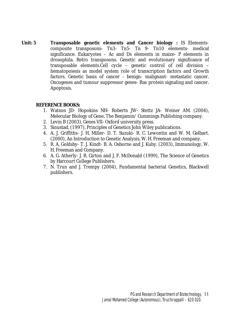**Unit: 5 Transposable genetic elements and Cancer biology :** IS Elementscomposite transposons- Tn3- Tn5- Tn 9- Tn10 elements- medical significance. Eukaryotes – Ac and Ds elements in maize- P elements in drosophila. Retro transposons. Genetic and evolutionary significance of transposable elements.Cell cycle – genetic control of cell division – hematopoiesis as model system role of transcription factors and Growth factors. Genetic basis of cancer - benign- malignant- metastatic cancer. Oncogenes and tumour suppressor genes- Ras protein signaling and cancer. Apoptosis.

- 1. Watson JD- Hopokins NH- Roberts JW- Stettz JA- Weiner AM. (2004), Melecular Biology of Gene, The Benjamin/ Cummings Publishing company.
- 2. Levin B (2003), Genes VII- Oxford university press.
- 3. Sinustad, (1997), Principles of Genetics John Wiley publications.
- 4. A. J. Griffiths- J. H. Miller- D. T. Suzuki- R. C. Lewontin and W. M. Gelbart. (2000), An Introduction to Genetic Analysis, W. H. Freeman and company.
- 5. R. A. Goldsby- T. J. Kindt- B. A. Osborne and J. Kuby. (2003), Immunology, W. H. Freeman and Company.
- 6. A. G. Atherly- J. R. Girton and J. F. McDonald (1999), The Science of Genetics by Harcourt College Publishers.
- 7. N. Trun and J. Trempy (2004), Fundamental bacterial Genetics, Blackwell publishers.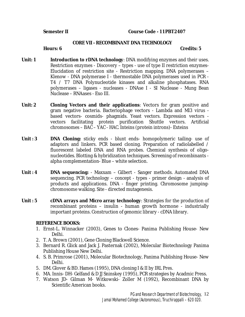**Semester II Course Code - 11PBT2407** 

#### **CORE VII - RECOMBINANT DNA TECHNOLOGY**

**Hours: 6 Credits: 5** 

- **Unit: 1 Introduction to rDNA technology**: DNA modifying enzymes and their uses. Restriction enzymes - Discovery – types - use of type II restriction enzymes-Elucidation of restriction site - Restriction mapping. DNA polymerases – Klenow - DNA polymerase I - thermostable DNA polymerases used in PCR - T4 / T7 DNA Polynucleotide kinases and alkaline phosphatases. RNA polymerases – ligases - nucleases - DNAse I - SI Nuclease - Mung Bean Nuclease – RNAases - Exo III.
- **Unit: 2 Cloning Vectors and their applications**: Vectors for gram positive and gram negative bacteria. Bacteriophage vectors - Lambda and Ml3 virus based vectors- cosmids- phagmids. Yeast vectors. Expression vectors vectors facilitating protein purification Shuttle vectors. Artificial chromosomes – BAC – YAC - HAC. Inteins (protein introns)- Exteins
- **Unit : 3 DNA Cloning:** sticky ends blunt ends- homopolymeric tailing- use of adaptors and linkers. PCR based cloning. Preparation of radiolabelled / fluorescent labeled DNA and RNA probes. Chemical synthesis of oligonucleotides. Blotting & hybridization techniques. Screening of recombinants alpha complementation- Blue – white selection.
- **Unit : 4 DNA sequencing:** Maxxam Gilbert Sanger methods. Automated DNA sequencing. PCR technology – concept - types - primer design - analysis of products and applications. DNA - finger printing. Chromosome jumpingchromosome walking. Site - directed mutagenesis.
- **Unit : 5 cDNA arrays and Micro array technology**: Strategies for the production of recombinant proteins – insulin - human growth hormone - industrially important proteins. Construction of genomic library - cDNA library.

- 1. Ernst-L. Winnacker (2003), Genes to Clones- Panima Publishing House- New Delhi.
- 2. T. A. Brown (2001), Gene Cloning Blackwell Science.
- 3. Bernard R. Glick and Jack J. Pasternak (2002), Molecular Biotechnology Panima Publishing House New Delhi.
- 4. S. B. Primrose (2001), Molecular Biotechnology, Panima Publishing House- New Delhi.
- 5. DM. Glover & BD. Hames (1995), DNA cloning I & II by IRL Pres.
- 6. MA. Innis- DH- Gelfand & D JJ Sninskey (1995), PCR strategies by Acadmic Press.
- 7. Watson JD- Gilman M- Witkowski- Zoller M (1992), Recombinant DNA by Scientific American books.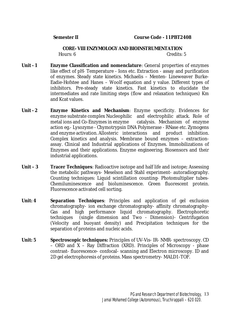**CORE- VIII ENZYMOLOGY AND BIOINSTRUMENTATION**  Hours: 6 Credits: 5

- **Unit - 1 Enzyme Classification and nomenclature**: General properties of enzymes like effect of pH- Temperature - Ions etc. Extraction - assay and purification of enzymes. Steady state kinetics. Michaelis – Menten- Lineweaver Burke-Eadie-Hofstee and Hanes – Woolf equation and y value. Different types of inhibitors. Pre-steady state kinetics. Fast kinetics to elucidate the intermediates and rate limiting steps (flow and relaxation techniques) Km and Kcat values.
- **Unit 2 Enzyme Kinetics and Mechanism**: Enzyme specificity. Evidences for enzyme substrate complex Nucleophilic and electrophilic attack. Role of metal ions and Co-Enzymes in enzyme catalysis. Mechanism of enzyme action eg.- Lysozyme - Chymotrypsin DNA Polymerase - RNase etc. Zymogens and enzyme activation. Allosteric interactions and product inhibition. Complex kinetics and analysis. Membrane bound enzymes – extractionassay. Clinical and Industrial applications of Enzymes. Immobilizations of Enzymes and their applications. Enzyme engineering. Biosensors and their industrial applications.
- **Unit 3 Tracer Techniques**: Radioactive isotope and half life and isotope; Assessing the metabolic pathways- Meselson and Stahl experiment- autoradiography. Counting techniques: Liquid scintillation counting- Photomultiplier tubes-Chemiluminescence and bioluminescence. Green fluorescent protein. Fluorescence activated cell sorting.
- **Unit: 4 Separation Techniques**: Principles and application of gel exclusion chromatography- ion exchange chromatography- affinity chromatography-Gas and high performance liquid chromatography. Electrophoretic techniques (single dimension and Two - Dimension)- Centrifugation (Velocity and buoyant density) and Precipitation techniques for the separation of proteins and nucleic acids.
- **Unit: 5 Spectroscopic techniques:** Principles of UV-Vis- IR- NMR- spectroscopy. CD – ORD and X – Ray Diffraction (XRD). Principles of Microscopy - phase contrast- fluorescence- confocal- scanning and Electron microscopy. ID and 2D gel electrophoresis of proteins. Mass spectrometry- MALD1-TOF.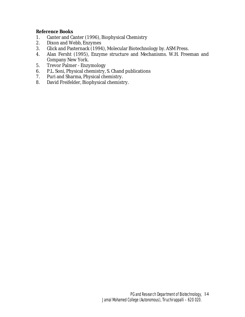**Reference Books** 

- 1. Canter and Canter (1996), Biophysical Chemistry
- 2. Dixon and Webb, Enzymes
- 3. Glick and Pasternack (1994), Molecular Biotechnology by. ASM Press.
- 4. Alan Fersht (1995), Enzyme structure and Mechanisms. W.H. Freeman and Company New York.
- 5. Trevor Palmer Enzymology
- 6. P.L. Soni, Physical chemistry, S. Chand publications
- 7. Puri and Sharma, Physical chemistry.
- 8. David Freifelder, Biophysical chemistry.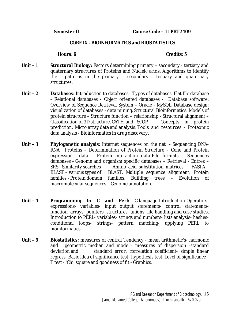#### **CORE IX - BIOINFORMATICS and BIOSTATISTICS**

- **Unit 1 Structural Biology:** Factors determining primary secondary tertiary and quaternary structures of Proteins and Nucleic acids. Algorithms to identify the patterns in the primary – secondary - tertiary and quaternary structures.
- **Unit 2 Databases:** Introduction to databases Types of databases. Flat file database - Relational databases - Object oriented databases - Database software: Overview of Sequence Retrieval System – Oracle - MySQL. Database design: visualization of databases - data mining. Structural Bioinformatics**:** Models of protein structure – Structure function – relationship - Structural alignment – Classification of 3D structure. CATH and SCOP – Concepts in protein prediction. Micro array data and analysis: Tools and resources - Proteomic data analysis - Bioinformatics in drug discovery.
- **Unit 3 Phylogenetic analysis:** Internet sequences on the net Sequencing DNA-RNA Proteins – Determination of Protein Structure – Gene and Protein expression data – Protein interaction data-File formats – Sequences databases – Genome and organism specific databases – Retrieval - Entrez – SRS - Similarity searches – Amino acid substitution matrices - FASTA - BLAST – various types of BLAST. Multiple sequence alignment: Protein families - Protein domain families. Building trees – Evolution of macromolecular sequences – Genome annotation.
- **Unit 4 Programming In C and Perl:** C-language-Introduction-Operatorsexpressions- variables- input output statements- control statementsfunction- arrays- pointers- structures- unions- file handling and case studies. Introduction to PERL- variables- strings and numbers- lists analysis- hashesconditional loops- strings- pattern matching- applying PERL to bioinformatics.
- **Unit 5 Biostatistics:** measures of central Tendency mean arithmetic's- harmonic and geometric median and mode - measures of dispersion -standard deviation and standard error; correlation coefficient- simple linear regress- Basic idea of significance test- hypothesis test. Level of significance - T test - 'Chi' square and goodness of fit - Graphics.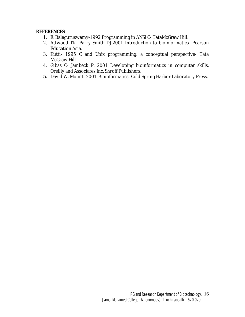### **REFERENCES**

- 1. E. Balaguruswamy-1992 Programming in ANSI C- TataMcGraw Hill.
- 2. Attwood TK- Parry Smith DJ-2001 Introduction to bioinformatics- Pearson Education Asia.
- 3. Kutti- 1995 C and Unix programming: a conceptual perspective- Tata McGraw Hill-.
- 4. Gibas C- Jambeck P. 2001 Developing bioinformatics in computer skills. Oreilly and Associates Inc. Shroff Publishers.
- **5.** David W. Mount- 2001-Bioinformatics- Cold Spring Harbor Laboratory Press.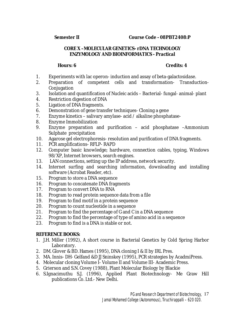## **CORE X –MOLECULAR GENETICS- rDNA TECHNOLOGY ENZYMOLOGY AND BIOINFORMATICS - Practical**

## **Hours: 6 Credits: 4**

- 1. Experiments with lac operon- induction and assay of beta-galactosidase.
- 2. Preparation of competent cells and transformation- Transduction-**Conjugation**
- 3. Isolation and quantification of Nucleic acids Bacterial- fungal- animal- plant
- 4. Restriction digestion of DNA
- 5. Ligation of DNA fragments.
- 6. Demonstration of gene transfer techniques- Cloning a gene
- 7. Enzyme kinetics salivary amylase- acid / alkaline phosphatase-
- 8. Enzyme Immobilization
- 9. Enzyme preparation and purification acid phosphatase –Ammonium Sulphate precipitation
- 10. Agarose gel electrophoresis- resolution and purification of DNA fragments.
- 11. PCR amplifications- RFLP- RAPD
- 12. Computer basic knowledge; hardware, connection cables, typing, Windows 98/XP, Internet browsers, search engines.
- 13. LAN connections, setting up the IP address, network security.
- 14. Internet surfing and searching information, downloading and installing software (Acrobat Reader, etc).
- 15. Program to store a DNA sequence
- 16. Program to concatenate DNA fragments
- 17. Program to convert DNA to RNA
- 18. Program to read protein sequence data from a file
- 19. Program to find motif in a protein sequence
- 20. Program to count nucleotide in a sequence
- 21. Program to find the percentage of G and C in a DNA sequence
- 22. Program to find the percentage of type of amino acid in a sequence
- 23. Program to find is a DNA is stable or not.

- 1. J.H. Miller (1992), A short course in Bacterial Genetics by Cold Spring Harbor Laboratory.
- 2. DM. Glover & BD. Hames (1995), DNA cloning I & II by IRL Pres.
- 3. MA. Innis- DH- Gelfand &D JJ Sninskey (1995), PCR strategies by AcadmiPress.
- 4. Molecular cloning Volume I- Volume II and Volume III- Academic Press.
- 5. Grierson and S.N. Covey (1988), Plant Molecular Biology by Blackie
- 6. S.Ignacimuthu S.J. (1996), Applied Plant Biotechnology- Me Graw Hill publications Co. Ltd.- New Delhi.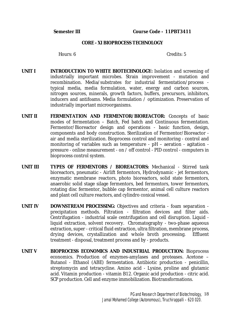#### **CORE - XI BIOPROCESS TECHNOLOGY**

- **UNIT I INTRODUCTION TO WHITE BIOTECHNOLOGY:** Isolation and screening of industrially important microbes. Strain improvement - mutation and recombination. Media/substrates for industrial fermentation/process typical media, media formulation, water, energy and carbon sources, nitrogen sources, minerals, growth factors, buffers, precursors, inhibitors, inducers and antifoams. Media formulation / optimization. Preservation of industrially important microorganisms.
- **UNIT II FERMENTATION AND FERMENTOR/BIOREACTOR:** Concepts of basic modes of fermentation – Batch, Fed batch and Continuous fermentation. Fermentor/Bioreactor design and operations - basic function, design, components and body construction. Sterilization of Fermentor/Bioreactor air and media sterilization. Bioprocess control and monitoring - control and monitoring of variables such as temperature - pH – aeration - agitation pressure - online measurement - on / off control - PID control - computers in bioprocess control system.
- **UNIT III TYPES OF FERMENTORS / BIOREACTORS:** Mechanical Stirred tank bioreactors, pneumatic - Airlift fermentors, Hydrodynamic - jet fermentors, enzymatic membrane reactors, photo bioreactors, solid state fermentors, anaerobic solid stage silage fermentors, bed fermentors, tower fermentors, rotating disc fermentor, bubble cap fermentor, animal cell culture reactors and plant cell culture reactors, and cylindro conical vessel.
- **UNIT IV DOWNSTREAM PROCESSING:** Objectives and criteria foam separation precipitation methods. Filtration - filtration devices and filter aids. Centrifugation - industrial scale centrifugation and cell disruption. Liquid liquid extraction, solvent recovery. Chromatography - two-phase aqueous extraction, super - critical fluid extraction, ultra filtration, membrane process, drying devices, crystallization and whole broth processing. Effluent treatment - disposal, treatment process and by - products.
- **UNIT V BIOPROCESS ECONOMICS AND INDUSTRIAL PRODUCTION:** Bioprocess economics. Production of enzymes-amylases and proteases. Acetone – Butanol - Ethanol (ABE) fermentation. Antibiotic production - penicillin, streptomycin and tetracycline. Amino acid - Lysine, proline and glutamic acid. Vitamin production - vitamin B12. Organic acid production - citric acid. SCP production. Cell and enzyme immobilization. Biotransformations.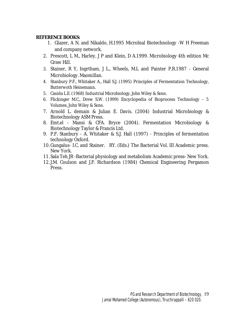- 1. Glazer, A N. and Nikaldo, H.1995 Microbial Biotechnology -W H Freeman and company network.
- 2. Prescott, L M., Harley, J P and Klein, D A.1999. Microbiology 4th edition Mc Graw Hill.
- 3. Stainer, R Y, Ingrtham, J L., Wheels, M.L and Painter P.R.1987 General Microbiology. Maomillan.
- 4. Stanbury P.F., Whitaker A., Hall S.J. (1995) Principles of Fermentation Technology, Butterwoth Heinemann.
- 5. Casida L.E. (1968) Industrial Microbiology, John Wiley & Sons.
- 6. Flickinger M.C., Drew S.W. (1999) Encyclopedia of Bioprocess Technology 5 Volumes, John Wiley & Sons.
- 7. Arnold L. demain & Julian E. Davis. (2004) Industrial Microbiology & Biotechnology ASM Press.
- 8. Emt.el Mansi & CFA. Bryce (2004). Fermentation Microbiology & Biotechnology Taylor & Francis Ltd.
- 9. P.F. Stanbury A. Whitaker & S.J. Hall (1997) Principles of fermentation technology Oxford.
- 10. Gungalus- I.C. and Stainer. RY. (Eds.) The Bacterial Vol. III Academic press. New York.
- 11.Sala Teh JR -Bacterial physiology and metabolism Academic press- New York.
- 12. J.M. Coulson and J.F. Richardson (1984) Chemical Engineering Pergamon Press.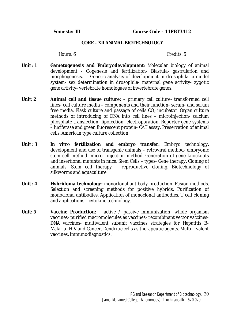#### **CORE – XII ANIMAL BIOTECHNOLOGY**

- **Unit : 1 Gametogenesis and Embryodevelopment**: Molecular biology of animal development - Oogenesis and fertilization- Blastula- gastrulation and morphogenesis. Genetic analysis of development in drosophila- a model system- sex determination in drosophila- maternal gene activity- zygotic gene activity- vertebrate homologues of invertebrate genes.
- **Unit: 2 Animal cell and tissue culture:** primary cell culture- transformed cell lines- cell culture media – components and their function- serum- and serum free media. Flask culture and passage of cells CO<sup>2</sup> incubator. Organ culture methods of introducing of DNA into cell lines – microinjection- calcium phosphate transfection- lipofection- electroporation. Reporter gene systems – luciferase and green fluorescent protein- CAT assay. Preservation of animal cells. American type culture collection.
- **Unit : 3** *In vitro* **fertilization and embryo transfer:** Embryo technology. development and use of transgenic animals – retroviral method- embryonic stem cell method- micro –injection method. Generation of gene knockouts and insertional mutants in mice. Stem Cells – types- Gene therapy. Cloning of animals. Stem cell therapy – reproductive cloning. Biotechnology of silkworms and aquaculture.
- **Unit : 4 Hybridoma technology:** monoclonal antibody production. Fusion methods. Selection and screening methods for positive hybrids. Purification of monoclonal antibodies. Application of monoclonal antibodies. T cell cloning and applications – cytokine technology.
- **Unit: 5 Vaccine Production:** active / passive immunization- whole organism vaccines- purified macromolecules as vaccines- recombinant vector vaccines-DNA vaccines- multivalent subunit vaccines strategies for Hepatitis B-Malaria- HIV and Cancer. Dendritic cells as therapeutic agents. Multi – valent vaccines. Immunodiagnostics.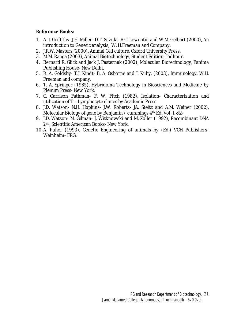**Reference Books:** 

- 1. A. J. Griffiths- J.H. Miller- D.T. Suzuki- R.C. Lewontin and W.M. Gelbart (2000), An introduction to Genetic analysis, W. H.Freeman and Company.
- 2. J.R.W. Masters (2000), Animal Cell culture, Oxford University Press.
- 3. M.M. Ranga (2003), Animal Biotechnology, Student Edition- Jodhpur.
- 4. Bernard R. Glick and Jack J. Pasternak (2002), Molecular Biotechnology, Panima Publishing House- New Delhi.
- 5. R. A. Goldsby- T.J. Kindt- B. A. Osborne and J. Kuby. (2003), Immunology, W.H. Freeman and company.
- 6. T. A. Springer (1985), Hybridoma Technology in Biosciences and Medicine by Plenum Press- New York.
- 7. C. Garrison Fathman- F. W. Fitch (1982), Isolation- Characterization and utilization of T – Lymphocyte clones by Academic Press
- 8. J.D. Watson- N.H. Hopkins- J.W. Roberts- JA. Steitz and A.M. Weiner (2002), Molecular Biology of gene by Benjamin / cummings  $4<sup>th</sup>$  Ed. Vol. 1 &2-
- 9. J.D. Watson- M. Gilman- J. Witknowski and M. Zoller (1992), Recombinant DNA 2nd, Scientific American Books- New York.
- 10. A. Puher (1993), Genetic Engineering of animals by (Ed.) VCH Publishers-Weinheim- FRG.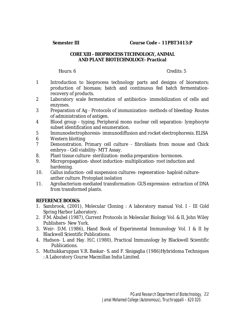**Semester III Course Code – 11PBT3413:P** 

## **CORE XIII - BIOPROCESS TECHNOLOGY, ANIMAL AND PLANT BIOTECHNOLOGY- Practical**

Hours: 6 Credits: 5

- 1 Introduction to bioprocess technology parts and designs of bioreators; production of biomass; batch and continuous fed batch fermentationrecovery of products.
- 2 Laboratory scale fermentation of antibiotics- immobilization of cells and enzymes.
- 3 Preparation of Ag Protocols of immunization- methods of bleeding- Routes of administration of antigen.
- 4 Blood group typing. Peripheral mono nuclear cell separation- lymphocyte subset identification and enumeration.
- 5 Immunoelectrophoresis- immunodiffusion and rocket electrophoresis. ELISA
- 6 Western blotting
- 7 Demonstration. Primary cell culture fibroblasts from mouse and Chick embryo - Cell viability- MTT Assay.
- 8. Plant tissue culture- sterilization- media preparation- hormones.
- 9. Micropropagation- shoot induction- multiplication- root induction and hardening.
- 10. Callus induction- cell suspension cultures- regeneration- haploid cultureanther culture. Protoplast isolation
- 11. Agrobacterium-mediated transformation- GUS expression- extraction of DNA from transformed plants.

- 1. Sambrook, (2001), Molecular Cloning : A laboratory manual Vol. I III Cold Spring Harbor Laboratory.
- 2. F.M. Abubel (1987), Current Protocols in Molecular Biology Vol. & II, John Wiley Publishers- New York.
- 3. Weir- D.M. (1986), Hand Book of Experimental Immunology Vol. I & II by Blackwell Scientific Publications.
- 4. Hudson- L and Hay. H.C. (1980), Practical Immunology by Blackwell Scientific Publications.
- 5. Muthukkaruppan V.R. Baskar- S. and F. Sinigaglia (1986)Hybridoma Techniques : A Laboratory Course Macmillan India Limited.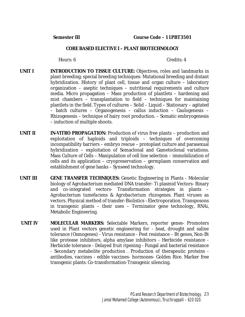### **CORE BASED ELECTIVE I – PLANT BIOTECHNOLOGY**

- **UNIT I INTRODUCTION TO TISSUE CULTURE:** Objectives, roles and landmarks in plant breeding; special breeding techniques: Mutational breeding and distant hybridization. History of plant cell, tissue and organ culture – laboratory organization – aseptic techniques – nutritional requirements and culture media. Micro propagation – Mass production of plantlets – hardening and mist chambers – transplantation to field – techniques for maintaining plantlets in the field. Types of cultures – Solid – Liquid – Stationary – agitated – batch cultures – Organogenesis – callus induction – Caulogenesis – Rhizogenesis – technique of hairy root production. – Somatic embryogenesis – induction of multiple shoots.
- **UNIT II** *IN-VITRO* **PROPAGATION:** Production of virus free plants production and exploitation of haploids and triploids – techniques of overcoming incompatibility barriers – embryo rescue – protoplast culture and parasexual hybridization – exploitation of Somaclonal and Gametoclonal variations. Mass Culture of Cells – Manipulation of cell line selection – immobilization of cells and its application – cryopreservation – germplasm conservation and establishment of gene banks – Synseed technology.
- **UNIT III GENE TRANSFER TECHNIQUES:** Genetic Engineering in Plants Molecular biology of Agrobacterium mediated DNA transfer- Ti plasmid Vectors- Binary and co-integrated vectors- Transformation strategies in plants – *Agrobacterium tumefaciens* & *Agrobacterium rhizogenes*. Plant viruses as vectors. Physical method of transfer-Biolistics –Electroporation. Transposons in transgenic plants – their uses – Terminator gene technology, RNAi, Metabolic Engineering.
- **UNIT IV MOLECULAR MARKERS:** Selectable Markers, reporter genes- Promoters used in Plant vectors genetic engineering for - heat, drought and saline tolerance (Osmogenes) - Virus resistance - Pest resistance – Bt genes, Non-Bt like protease inhibitors, alpha amylase inhibitors - Herbicide resistance - Herbicide tolerance - Delayed fruit ripening - Fungal and bacterial resistance - Secondary metabolite production . Production of therapeutic proteins antibodies, vaccines - edible vaccines- hormones- Golden Rice. Marker free transgenic plants. Co-transformation-Transgenic silencing.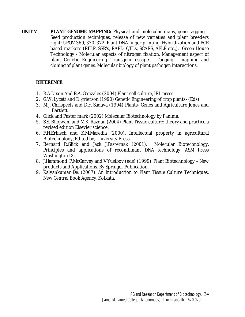**UNIT V PLANT GENOME MAPPING:** Physical and molecular maps, gene tagging – Seed production techniques, release of new varieties and plant breeders right: UPOV 369, 370, 372. Plant DNA finger printing: Hybridization and PCR based markers (RFLP, SSR's, RAPD, QTLs, SCARS, AFLP etc.,). Green House Technology - Molecular aspects of nitrogen fixation. Management aspect of plant Genetic Engineering. Transgene escape – Tagging - mapping and cloning of plant genes. Molecular biology of plant pathogen interactions.

## **REFERENCE:**

- 1. R.A Dixon And R.A. Gonzales (2004).Plant cell culture, IRL press.
- 2. G.W. Lycett and D. grierson (1990) Genetic Engineering of crop plants- (Eds)
- 3. M.J. Chrispeels and D.F. Sadava (1994) Plants- Genes and Agriculture Jones and Bartlett.
- 4. Glick and Paster mark (2002) Molecular Biotechnology by Panima.
- 5. S.S. Bhojwani and M.K. Razdan (2004) Plant Tissue culture: theory and practice a revised edition Elsevier science.
- 6. F.H.Erbisch and K.M.Maredia (2000). Intellectual property in agricultural Biotechnology, Edited by, University Press.
- 7. Bernard R.Glick and Jack J.Pasternak (2001). Molecular Biotechnology, Principles and applications of recombinant DNA technology. ASM Press Washington DC.
- 8. J.Hammond, P.McGarvey and V.Yusibov (eds) (1999). Plant Biotechnology New products and Applications. By Springer Publication.
- 9. Kalyankumar De. (2007). An Introduction to Plant Tissue Culture Techniques. New Central Book Agency, Kolkata.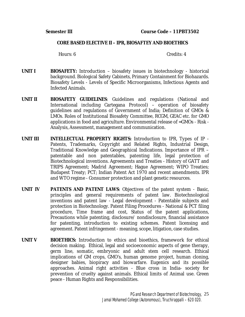### **CORE BASED ELECTIVE II – IPR, BIOSAFTEY AND BIOETHICS**

- **UNIT I BIOSAFETY:** Introduction biosafety issues in biotechnology historical background. Biological Safety Cabinets, Primary Containment for Biohazards. Biosafety Levels - Levels of Specific Microorganisms, Infectious Agents and Infected Animals.
- **UNIT II BIOSAFETY GUIDELINES**: Guidelines and regulations (National and International including Cartegana Protocol) – operation of biosafety guidelines and regulations of Government of India; Definition of GMOs & LMOs. Roles of Institutional Biosafety Committee, RCGM, GEAC etc. for GMO applications in food and agriculture. Environmental release of =GMOs - Risk - Analysis, Assessment, management and communication.
- **UNIT III INTELLECTUAL PROPERTY RIGHTS:** Introduction to IPR, Types of IP Patents, Trademarks, Copyright and Related Rights, Industrial Design, Traditional Knowledge and Geographical Indications. Importance of IPR – patentable and non patentables, patenting life, legal protection of Biotechnological inventions. Agreements and Treaties - History of GATT and TRIPS Agreement; Madrid Agreement; Hague Agreement; WIPO Treaties; Budapest Treaty; PCT; Indian Patent Act 1970 and recent amendments. IPR and WTO regime - Consumer protection and plant genetic resources.
- **UNIT IV PATENTS AND PATENT LAWS**: Objectives of the patent system Basic, principles and general requirements of patent law. Biotechnological inventions and patent law - Legal development - Patentable subjects and protection in Biotechnology. Patent Filing Procedures - National & PCT filing procedure, Time frame and cost, Status of the patent applications, Precautions while patenting, disclosure/ nondisclosure, financial assistance for patenting, introduction to existing schemes. Patent licensing and agreement. Patent infringement - meaning, scope, litigation, case studies.
- **UNIT V BIOETHICS:** Introduction to ethics and bioethics, framework for ethical decision making. Ethical, legal and socioeconomic aspects of gene therapy, germ line, somatic, embryonic and adult stem cell research. Ethical implications of GM crops, GMO's, human genome project, human cloning, designer babies, biopiracy and biowarfare. Eugenics and its possible approaches. Animal right activities - Blue cross in India- society for prevention of cruelty against animals. Ethical limits of Animal use. Green peace - Human Rights and Responsibilities.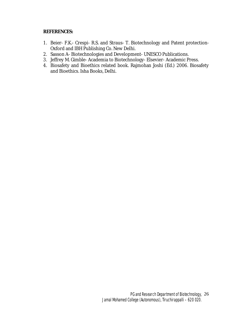### **REFERENCES:**

- 1. Beier- F.K.- Crespi- R.S. and Straus- T. Biotechnology and Patent protection-Oxford and IBH Publishing Co. New Delhi.
- 2. Sasson A- Biotechnologies and Development- UNESCO Publications.
- 3. Jeffrey M. Gimble- Academia to Biotechnology- Elsevier- Academic Press.
- 4. Biosafety and Bioethics related book. Rajmohan Joshi (Ed.) 2006. Biosafety and Bioethics. Isha Books, Delhi.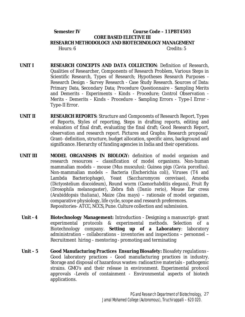## **Semester IV Course Code – 11PBT4503 CORE BASED ELECTIVE III RESEARCH METHODOLOGY AND BIOTECHNOLOGY MANAGEMENT**  Hours: 6 Credits: 5

- **UNIT I RESEARCH CONCEPTS AND DATA COLLECTION**: Definition of Research, Qualities of Researcher, Components of Research Problem, Various Steps in Scientific Research, Types of Research; Hypotheses Research Purposes - Research Design - Survey Research - Case Study Research. Sources of Data: Primary Data, Secondary Data; Procedure Questionnaire - Sampling Merits and Demerits - Experiments - Kinds - Procedure; Control Observation - Merits - Demerits - Kinds - Procedure - Sampling Errors - Type-I Error - Type-II Error.
- **UNIT II RESEARCH REPORTS**: Structure and Components of Research Report, Types of Reports, Styles of reporting, Steps in drafting reports, editing and evaluation of final draft, evaluating the final draft; Good Research Report, observation and research report. Pictures and Graphs; Research proposal/ Grant- definition, structure, budget allocation, specific aims, background and significance. Hierarchy of funding agencies in India and their operations.
- **UNIT III MODEL ORGANISMS IN BIOLOGY:** definition of model organism and research resources – classification of model organisms. Non-human mammalian models – mouse *(Mus musculus)*; Guinea pigs *(Cavia porcellus).* Non-mammalian models – Bacteria (Escherichia *coli*), Viruses (T4 and Lambda Bacteriophage), Yeast (*Saccharomyces cerevisae*), Amoeba (*Dictyostelium discoideum*), Round worm (*Caenorhabditis elegans)*, Fruit fly *(Drosophila melanogaster)*, Zebra fish *(Danio rerio),* Mouse Ear cress (*Arabiddopsis thaliana)*, Maize (*Zea mays*) – rationale of model organism, comparative physiology, life cycle, scope and research preferences. Repositories- ATCC, NCCS, Pune. Culture collection and submission.
- **Unit 4 Biotechnology Management:** Introduction Designing a manuscript- grant experimental protocols & experimental methods. Selection of a Biotechnology company. **Setting up of a Laboratory**: laboratory administration – collaborations - inventories and inspections – personnel – Recruitment hiring – mentoring - promoting and terminating
- **Unit 5 Good Manufacturing Practices Ensuring Biosafety:** Biosafety regulations Good laboratory practices - Good manufacturing practices in industry. Storage and disposal of hazardous wastes: radioactive materials - pathogenic strains. GMO's and their release in environment. Experimental protocol approvals -Levels of containment - Environmental aspects of biotech applications.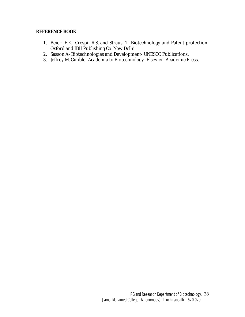- 1. Beier- F.K.- Crespi- R.S. and Straus- T. Biotechnology and Patent protection-Oxford and IBH Publishing Co. New Delhi.
- 2. Sasson A- Biotechnologies and Development- UNESCO Publications.
- 3. Jeffrey M. Gimble- Academia to Biotechnology- Elsevier- Academic Press.